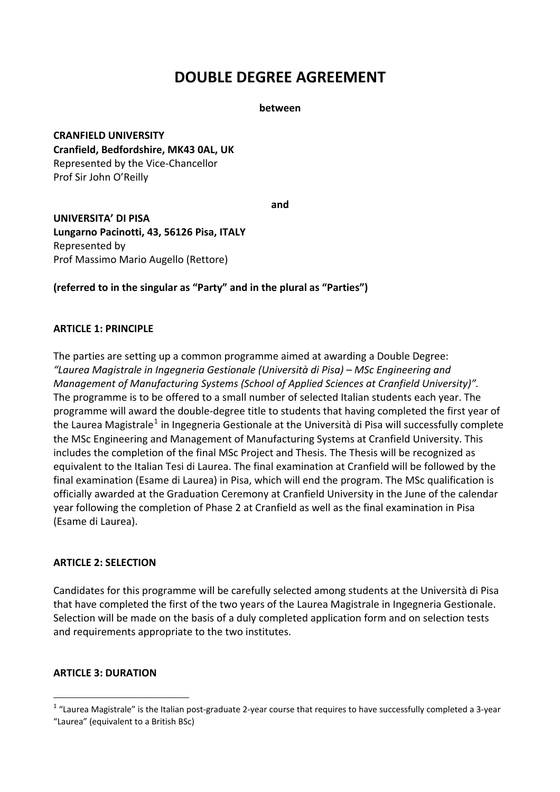# **DOUBLE DEGREE AGREEMENT**

**between**

**CRANFIELD UNIVERSITY Cranfield, Bedfordshire, MK43 0AL, UK** Represented by the Vice‐Chancellor Prof Sir John O'Reilly

**and**

**UNIVERSITA' DI PISA Lungarno Pacinotti, 43, 56126 Pisa, ITALY** Represented by Prof Massimo Mario Augello (Rettore)

**(referred to in the singular as "Party" and in the plural as "Parties")**

#### **ARTICLE 1: PRINCIPLE**

The parties are setting up a common programme aimed at awarding a Double Degree: *"Laurea Magistrale in Ingegneria Gestionale (Università di Pisa) – MSc Engineering and Management of Manufacturing Systems (School of Applied Sciences at Cranfield University)".*  The programme is to be offered to a small number of selected Italian students each year. The programme will award the double‐degree title to students that having completed the first year of the Laurea Magistrale<sup>[1](#page-0-0)</sup> in Ingegneria Gestionale at the Università di Pisa will successfully complete the MSc Engineering and Management of Manufacturing Systems at Cranfield University. This includes the completion of the final MSc Project and Thesis. The Thesis will be recognized as equivalent to the Italian Tesi di Laurea. The final examination at Cranfield will be followed by the final examination (Esame di Laurea) in Pisa, which will end the program. The MSc qualification is officially awarded at the Graduation Ceremony at Cranfield University in the June of the calendar year following the completion of Phase 2 at Cranfield as well as the final examination in Pisa (Esame di Laurea).

#### **ARTICLE 2: SELECTION**

Candidates for this programme will be carefully selected among students at the Università di Pisa that have completed the first of the two years of the Laurea Magistrale in Ingegneria Gestionale. Selection will be made on the basis of a duly completed application form and on selection tests and requirements appropriate to the two institutes.

## **ARTICLE 3: DURATION**

<span id="page-0-0"></span> $1$  "Laurea Magistrale" is the Italian post-graduate 2-year course that requires to have successfully completed a 3-year "Laurea" (equivalent to a British BSc)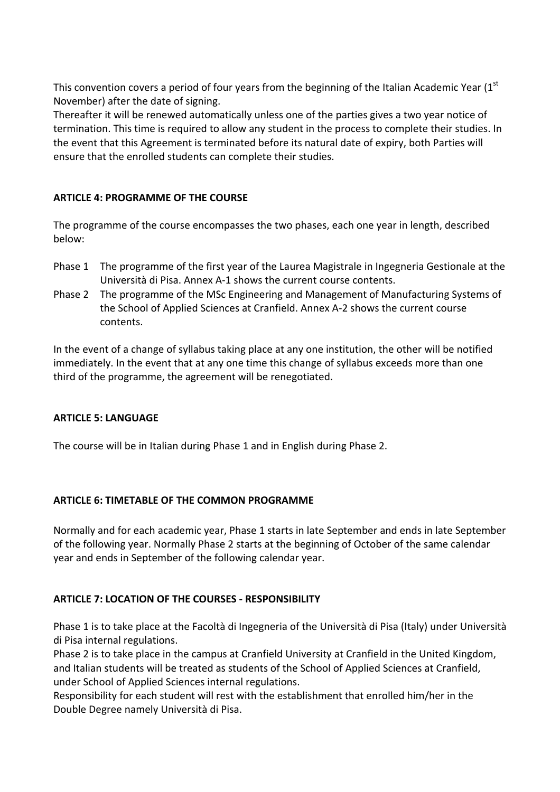This convention covers a period of four years from the beginning of the Italian Academic Year  $(1<sup>st</sup>$ November) after the date of signing.

Thereafter it will be renewed automatically unless one of the parties gives a two year notice of termination. This time is required to allow any student in the process to complete their studies. In the event that this Agreement is terminated before its natural date of expiry, both Parties will ensure that the enrolled students can complete their studies.

## **ARTICLE 4: PROGRAMME OF THE COURSE**

The programme of the course encompasses the two phases, each one year in length, described below:

- Phase 1 The programme of the first year of the Laurea Magistrale in Ingegneria Gestionale at the Università di Pisa. Annex A‐1 shows the current course contents.
- Phase 2 The programme of the MSc Engineering and Management of Manufacturing Systems of the School of Applied Sciences at Cranfield. Annex A‐2 shows the current course contents.

In the event of a change of syllabus taking place at any one institution, the other will be notified immediately. In the event that at any one time this change of syllabus exceeds more than one third of the programme, the agreement will be renegotiated.

#### **ARTICLE 5: LANGUAGE**

The course will be in Italian during Phase 1 and in English during Phase 2.

## **ARTICLE 6: TIMETABLE OF THE COMMON PROGRAMME**

Normally and for each academic year, Phase 1 starts in late September and ends in late September of the following year. Normally Phase 2 starts at the beginning of October of the same calendar year and ends in September of the following calendar year.

#### **ARTICLE 7: LOCATION OF THE COURSES ‐ RESPONSIBILITY**

Phase 1 is to take place at the Facoltà di Ingegneria of the Università di Pisa (Italy) under Università di Pisa internal regulations.

Phase 2 is to take place in the campus at Cranfield University at Cranfield in the United Kingdom, and Italian students will be treated as students of the School of Applied Sciences at Cranfield, under School of Applied Sciences internal regulations.

Responsibility for each student will rest with the establishment that enrolled him/her in the Double Degree namely Università di Pisa.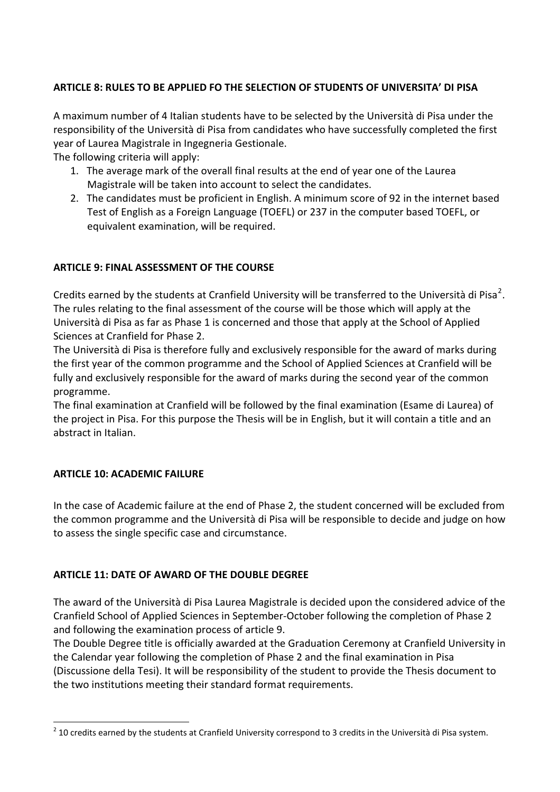## **ARTICLE 8: RULES TO BE APPLIED FO THE SELECTION OF STUDENTS OF UNIVERSITA' DI PISA**

A maximum number of 4 Italian students have to be selected by the Università di Pisa under the responsibility of the Università di Pisa from candidates who have successfully completed the first year of Laurea Magistrale in Ingegneria Gestionale.

The following criteria will apply:

- 1. The average mark of the overall final results at the end of year one of the Laurea Magistrale will be taken into account to select the candidates.
- 2. The candidates must be proficient in English. A minimum score of 92 in the internet based Test of English as a Foreign Language (TOEFL) or 237 in the computer based TOEFL, or equivalent examination, will be required.

## **ARTICLE 9: FINAL ASSESSMENT OF THE COURSE**

Credits earned by the students at Cranfield University will be transferred to the Università di Pisa<sup>[2](#page-2-0)</sup>. The rules relating to the final assessment of the course will be those which will apply at the Università di Pisa as far as Phase 1 is concerned and those that apply at the School of Applied Sciences at Cranfield for Phase 2.

The Università di Pisa is therefore fully and exclusively responsible for the award of marks during the first year of the common programme and the School of Applied Sciences at Cranfield will be fully and exclusively responsible for the award of marks during the second year of the common programme.

The final examination at Cranfield will be followed by the final examination (Esame di Laurea) of the project in Pisa. For this purpose the Thesis will be in English, but it will contain a title and an abstract in Italian.

## **ARTICLE 10: ACADEMIC FAILURE**

In the case of Academic failure at the end of Phase 2, the student concerned will be excluded from the common programme and the Università di Pisa will be responsible to decide and judge on how to assess the single specific case and circumstance.

## **ARTICLE 11: DATE OF AWARD OF THE DOUBLE DEGREE**

The award of the Università di Pisa Laurea Magistrale is decided upon the considered advice of the Cranfield School of Applied Sciences in September‐October following the completion of Phase 2 and following the examination process of article 9.

The Double Degree title is officially awarded at the Graduation Ceremony at Cranfield University in the Calendar year following the completion of Phase 2 and the final examination in Pisa (Discussione della Tesi). It will be responsibility of the student to provide the Thesis document to the two institutions meeting their standard format requirements.

<span id="page-2-0"></span> $2$  10 credits earned by the students at Cranfield University correspond to 3 credits in the Università di Pisa system.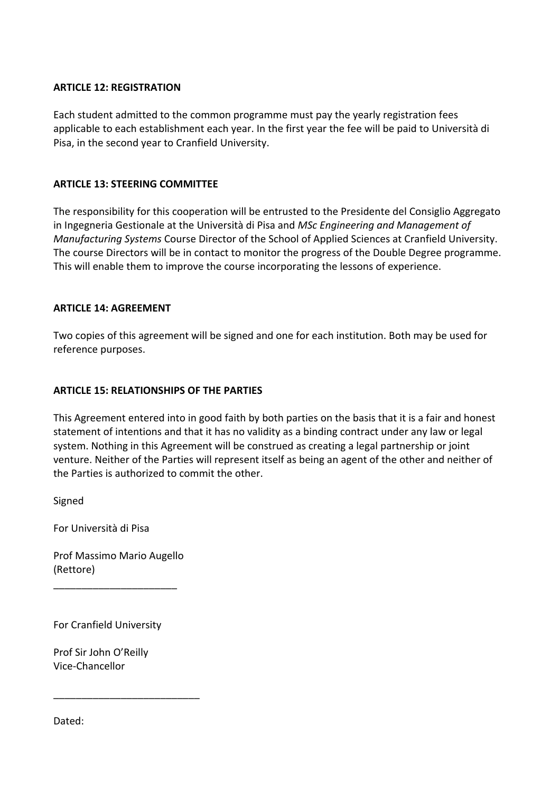#### **ARTICLE 12: REGISTRATION**

Each student admitted to the common programme must pay the yearly registration fees applicable to each establishment each year. In the first year the fee will be paid to Università di Pisa, in the second year to Cranfield University.

#### **ARTICLE 13: STEERING COMMITTEE**

The responsibility for this cooperation will be entrusted to the Presidente del Consiglio Aggregato in Ingegneria Gestionale at the Università di Pisa and *MSc Engineering and Management of Manufacturing Systems* Course Director of the School of Applied Sciences at Cranfield University. The course Directors will be in contact to monitor the progress of the Double Degree programme. This will enable them to improve the course incorporating the lessons of experience.

#### **ARTICLE 14: AGREEMENT**

Two copies of this agreement will be signed and one for each institution. Both may be used for reference purposes.

#### **ARTICLE 15: RELATIONSHIPS OF THE PARTIES**

This Agreement entered into in good faith by both parties on the basis that it is a fair and honest statement of intentions and that it has no validity as a binding contract under any law or legal system. Nothing in this Agreement will be construed as creating a legal partnership or joint venture. Neither of the Parties will represent itself as being an agent of the other and neither of the Parties is authorized to commit the other.

Signed

For Università di Pisa

Prof Massimo Mario Augello (Rettore)

\_\_\_\_\_\_\_\_\_\_\_\_\_\_\_\_\_\_\_\_\_\_

For Cranfield University

Prof Sir John O'Reilly Vice‐Chancellor

\_\_\_\_\_\_\_\_\_\_\_\_\_\_\_\_\_\_\_\_\_\_\_\_\_\_

Dated: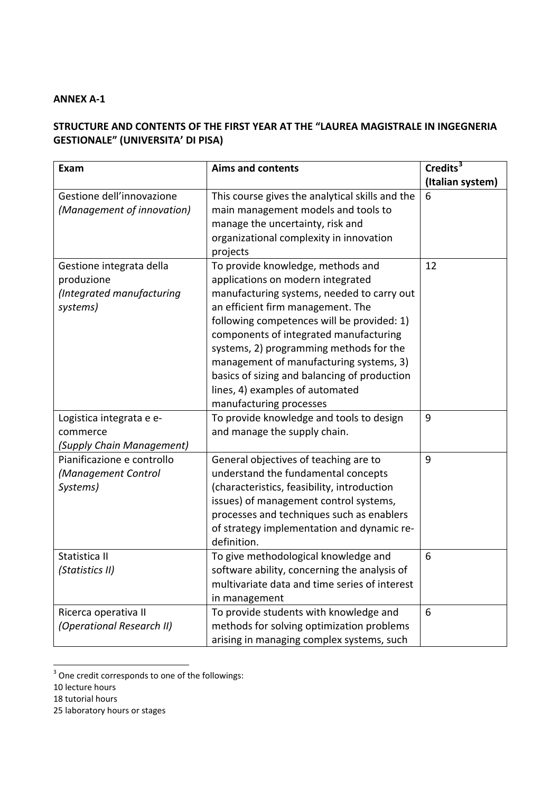#### **ANNEX A‐1**

## **STRUCTURE AND CONTENTS OF THE FIRST YEAR AT THE "LAUREA MAGISTRALE IN INGEGNERIA GESTIONALE" (UNIVERSITA' DI PISA)**

| Exam                       | <b>Aims and contents</b>                                            | Credits <sup>3</sup> |
|----------------------------|---------------------------------------------------------------------|----------------------|
|                            |                                                                     | (Italian system)     |
| Gestione dell'innovazione  | This course gives the analytical skills and the                     | 6                    |
| (Management of innovation) | main management models and tools to                                 |                      |
|                            | manage the uncertainty, risk and                                    |                      |
|                            | organizational complexity in innovation                             |                      |
|                            | projects                                                            |                      |
| Gestione integrata della   | To provide knowledge, methods and                                   | 12                   |
| produzione                 | applications on modern integrated                                   |                      |
| (Integrated manufacturing  | manufacturing systems, needed to carry out                          |                      |
| systems)                   | an efficient firm management. The                                   |                      |
|                            | following competences will be provided: 1)                          |                      |
|                            | components of integrated manufacturing                              |                      |
|                            | systems, 2) programming methods for the                             |                      |
|                            | management of manufacturing systems, 3)                             |                      |
|                            | basics of sizing and balancing of production                        |                      |
|                            | lines, 4) examples of automated                                     |                      |
| Logistica integrata e e-   | manufacturing processes<br>To provide knowledge and tools to design | 9                    |
| commerce                   | and manage the supply chain.                                        |                      |
| (Supply Chain Management)  |                                                                     |                      |
| Pianificazione e controllo | General objectives of teaching are to                               | 9                    |
| (Management Control        | understand the fundamental concepts                                 |                      |
| Systems)                   | (characteristics, feasibility, introduction                         |                      |
|                            | issues) of management control systems,                              |                      |
|                            | processes and techniques such as enablers                           |                      |
|                            | of strategy implementation and dynamic re-                          |                      |
|                            | definition.                                                         |                      |
| Statistica II              | To give methodological knowledge and                                | 6                    |
| (Statistics II)            | software ability, concerning the analysis of                        |                      |
|                            | multivariate data and time series of interest                       |                      |
|                            | in management                                                       |                      |
| Ricerca operativa II       | To provide students with knowledge and                              | $6\phantom{1}6$      |
| (Operational Research II)  | methods for solving optimization problems                           |                      |
|                            | arising in managing complex systems, such                           |                      |

<span id="page-4-0"></span> $3$  One credit corresponds to one of the followings:

<sup>10</sup> lecture hours

<sup>18</sup> tutorial hours

<sup>25</sup> laboratory hours or stages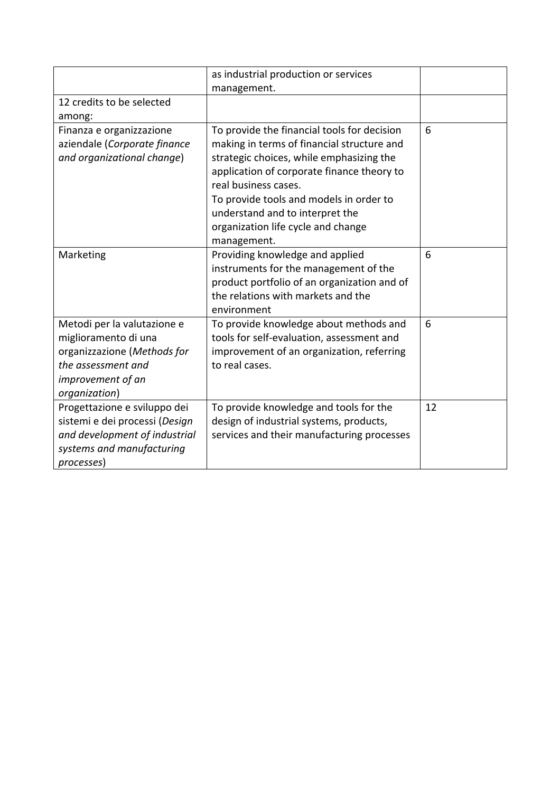|                                                                                                                                                | as industrial production or services<br>management.                                                                                                                                                                                                                                                                                            |    |
|------------------------------------------------------------------------------------------------------------------------------------------------|------------------------------------------------------------------------------------------------------------------------------------------------------------------------------------------------------------------------------------------------------------------------------------------------------------------------------------------------|----|
| 12 credits to be selected<br>among:                                                                                                            |                                                                                                                                                                                                                                                                                                                                                |    |
| Finanza e organizzazione<br>aziendale (Corporate finance<br>and organizational change)                                                         | To provide the financial tools for decision<br>making in terms of financial structure and<br>strategic choices, while emphasizing the<br>application of corporate finance theory to<br>real business cases.<br>To provide tools and models in order to<br>understand and to interpret the<br>organization life cycle and change<br>management. | 6  |
| Marketing                                                                                                                                      | Providing knowledge and applied<br>instruments for the management of the<br>product portfolio of an organization and of<br>the relations with markets and the<br>environment                                                                                                                                                                   | 6  |
| Metodi per la valutazione e<br>miglioramento di una<br>organizzazione (Methods for<br>the assessment and<br>improvement of an<br>organization) | To provide knowledge about methods and<br>tools for self-evaluation, assessment and<br>improvement of an organization, referring<br>to real cases.                                                                                                                                                                                             | 6  |
| Progettazione e sviluppo dei<br>sistemi e dei processi (Design<br>and development of industrial<br>systems and manufacturing<br>processes)     | To provide knowledge and tools for the<br>design of industrial systems, products,<br>services and their manufacturing processes                                                                                                                                                                                                                | 12 |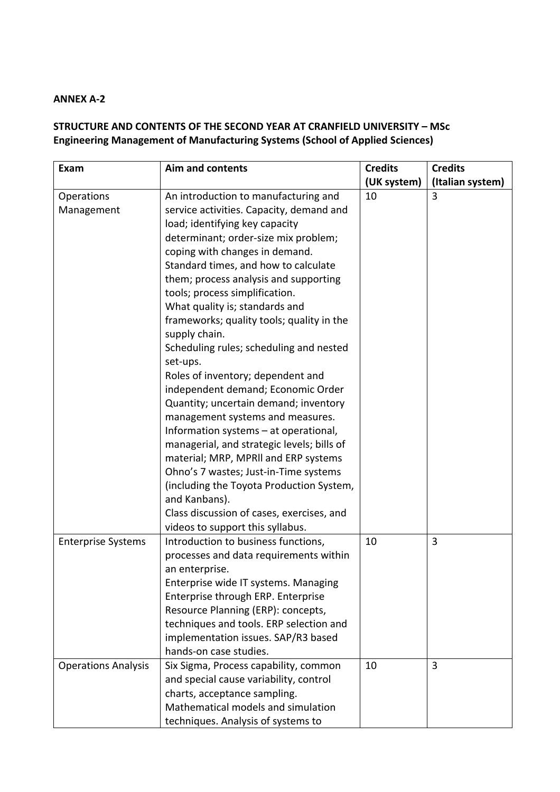## **ANNEX A‐2**

# **STRUCTURE AND CONTENTS OF THE SECOND YEAR AT CRANFIELD UNIVERSITY – MSc Engineering Management of Manufacturing Systems (School of Applied Sciences)**

| Exam                       | <b>Aim and contents</b>                    | <b>Credits</b> | <b>Credits</b>   |
|----------------------------|--------------------------------------------|----------------|------------------|
|                            |                                            | (UK system)    | (Italian system) |
| Operations                 | An introduction to manufacturing and       | 10             | 3                |
| Management                 | service activities. Capacity, demand and   |                |                  |
|                            | load; identifying key capacity             |                |                  |
|                            | determinant; order-size mix problem;       |                |                  |
|                            | coping with changes in demand.             |                |                  |
|                            | Standard times, and how to calculate       |                |                  |
|                            | them; process analysis and supporting      |                |                  |
|                            | tools; process simplification.             |                |                  |
|                            | What quality is; standards and             |                |                  |
|                            | frameworks; quality tools; quality in the  |                |                  |
|                            | supply chain.                              |                |                  |
|                            | Scheduling rules; scheduling and nested    |                |                  |
|                            | set-ups.                                   |                |                  |
|                            | Roles of inventory; dependent and          |                |                  |
|                            | independent demand; Economic Order         |                |                  |
|                            | Quantity; uncertain demand; inventory      |                |                  |
|                            | management systems and measures.           |                |                  |
|                            | Information systems - at operational,      |                |                  |
|                            | managerial, and strategic levels; bills of |                |                  |
|                            | material; MRP, MPRII and ERP systems       |                |                  |
|                            | Ohno's 7 wastes; Just-in-Time systems      |                |                  |
|                            | (including the Toyota Production System,   |                |                  |
|                            | and Kanbans).                              |                |                  |
|                            | Class discussion of cases, exercises, and  |                |                  |
|                            | videos to support this syllabus.           |                |                  |
| <b>Enterprise Systems</b>  | Introduction to business functions,        | 10             | 3                |
|                            | processes and data requirements within     |                |                  |
|                            | an enterprise.                             |                |                  |
|                            | Enterprise wide IT systems. Managing       |                |                  |
|                            | Enterprise through ERP. Enterprise         |                |                  |
|                            | Resource Planning (ERP): concepts,         |                |                  |
|                            | techniques and tools. ERP selection and    |                |                  |
|                            | implementation issues. SAP/R3 based        |                |                  |
|                            | hands-on case studies.                     |                |                  |
| <b>Operations Analysis</b> | Six Sigma, Process capability, common      | 10             | $\overline{3}$   |
|                            | and special cause variability, control     |                |                  |
|                            | charts, acceptance sampling.               |                |                  |
|                            | Mathematical models and simulation         |                |                  |
|                            | techniques. Analysis of systems to         |                |                  |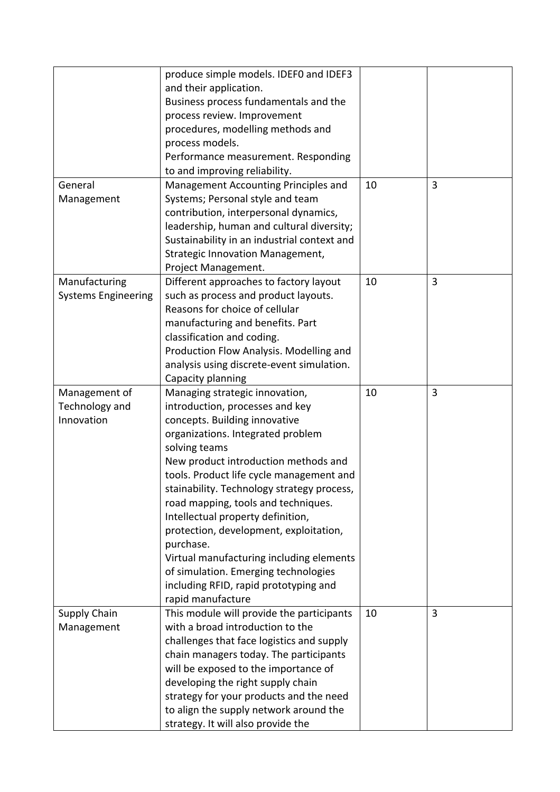|                            | produce simple models. IDEF0 and IDEF3      |    |   |
|----------------------------|---------------------------------------------|----|---|
|                            | and their application.                      |    |   |
|                            | Business process fundamentals and the       |    |   |
|                            | process review. Improvement                 |    |   |
|                            | procedures, modelling methods and           |    |   |
|                            | process models.                             |    |   |
|                            | Performance measurement. Responding         |    |   |
|                            | to and improving reliability.               |    |   |
|                            |                                             |    |   |
| General                    | Management Accounting Principles and        | 10 | 3 |
| Management                 | Systems; Personal style and team            |    |   |
|                            | contribution, interpersonal dynamics,       |    |   |
|                            | leadership, human and cultural diversity;   |    |   |
|                            | Sustainability in an industrial context and |    |   |
|                            | <b>Strategic Innovation Management,</b>     |    |   |
|                            | Project Management.                         |    |   |
| Manufacturing              | Different approaches to factory layout      | 10 | 3 |
| <b>Systems Engineering</b> | such as process and product layouts.        |    |   |
|                            | Reasons for choice of cellular              |    |   |
|                            | manufacturing and benefits. Part            |    |   |
|                            | classification and coding.                  |    |   |
|                            | Production Flow Analysis. Modelling and     |    |   |
|                            | analysis using discrete-event simulation.   |    |   |
|                            | Capacity planning                           |    |   |
| Management of              | Managing strategic innovation,              | 10 | 3 |
| Technology and             | introduction, processes and key             |    |   |
| Innovation                 | concepts. Building innovative               |    |   |
|                            | organizations. Integrated problem           |    |   |
|                            | solving teams                               |    |   |
|                            | New product introduction methods and        |    |   |
|                            | tools. Product life cycle management and    |    |   |
|                            | stainability. Technology strategy process,  |    |   |
|                            | road mapping, tools and techniques.         |    |   |
|                            | Intellectual property definition,           |    |   |
|                            | protection, development, exploitation,      |    |   |
|                            | purchase.                                   |    |   |
|                            | Virtual manufacturing including elements    |    |   |
|                            | of simulation. Emerging technologies        |    |   |
|                            | including RFID, rapid prototyping and       |    |   |
|                            | rapid manufacture                           |    |   |
|                            |                                             |    | 3 |
| <b>Supply Chain</b>        | This module will provide the participants   | 10 |   |
| Management                 | with a broad introduction to the            |    |   |
|                            | challenges that face logistics and supply   |    |   |
|                            | chain managers today. The participants      |    |   |
|                            | will be exposed to the importance of        |    |   |
|                            | developing the right supply chain           |    |   |
|                            | strategy for your products and the need     |    |   |
|                            | to align the supply network around the      |    |   |
|                            | strategy. It will also provide the          |    |   |